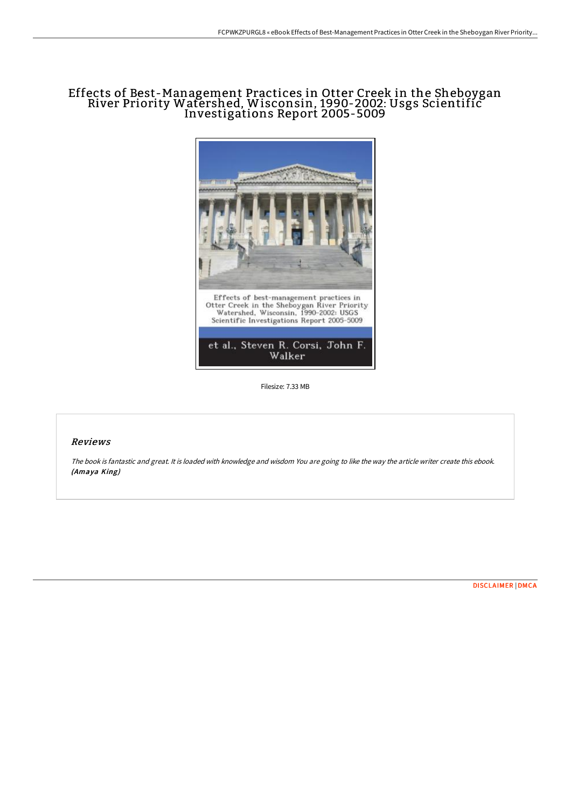# Effects of Best-Management Practices in Otter Creek in the Sheboygan River Priority Watershed, Wisconsin, 1990-2002: Usgs Scientific Investigations Report 2005-5009



Filesize: 7.33 MB

## Reviews

The book is fantastic and great. It is loaded with knowledge and wisdom You are going to like the way the article writer create this ebook. (Amaya King)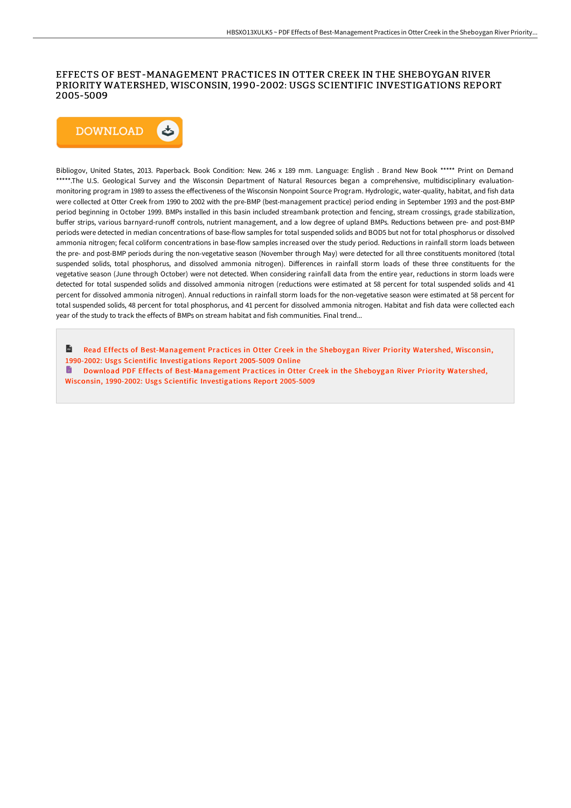## EFFECTS OF BEST-MANAGEMENT PRACTICES IN OTTER CREEK IN THE SHEBOYGAN RIVER PRIORITY WATERSHED, WISCONSIN, 1990-2002: USGS SCIENTIFIC INVESTIGATIONS REPORT 2005-5009



Bibliogov, United States, 2013. Paperback. Book Condition: New. 246 x 189 mm. Language: English . Brand New Book \*\*\*\*\* Print on Demand \*\*\*\*\*.The U.S. Geological Survey and the Wisconsin Department of Natural Resources began a comprehensive, multidisciplinary evaluationmonitoring program in 1989 to assess the effectiveness of the Wisconsin Nonpoint Source Program. Hydrologic, water-quality, habitat, and fish data were collected at Otter Creek from 1990 to 2002 with the pre-BMP (best-management practice) period ending in September 1993 and the post-BMP period beginning in October 1999. BMPs installed in this basin included streambank protection and fencing, stream crossings, grade stabilization, buffer strips, various barnyard-runoff controls, nutrient management, and a low degree of upland BMPs. Reductions between pre- and post-BMP periods were detected in median concentrations of base-flow samples for total suspended solids and BOD5 but not for total phosphorus or dissolved ammonia nitrogen; fecal coliform concentrations in base-flow samples increased over the study period. Reductions in rainfall storm loads between the pre- and post-BMP periods during the non-vegetative season (November through May) were detected for all three constituents monitored (total suspended solids, total phosphorus, and dissolved ammonia nitrogen). Differences in rainfall storm loads of these three constituents for the vegetative season (June through October) were not detected. When considering rainfall data from the entire year, reductions in storm loads were detected for total suspended solids and dissolved ammonia nitrogen (reductions were estimated at 58 percent for total suspended solids and 41 percent for dissolved ammonia nitrogen). Annual reductions in rainfall storm loads for the non-vegetative season were estimated at 58 percent for total suspended solids, 48 percent for total phosphorus, and 41 percent for dissolved ammonia nitrogen. Habitat and fish data were collected each year of the study to track the effects of BMPs on stream habitat and fish communities. Final trend...

 $\mathbf{H}$ Read Effects of [Best-Management](http://techno-pub.tech/effects-of-best-management-practices-in-otter-cr-1.html) Practices in Otter Creek in the Sheboygan River Priority Watershed, Wisconsin, 1990-2002: Usgs Scientific Investigations Report 2005-5009 Online h Download PDF Effects of [Best-Management](http://techno-pub.tech/effects-of-best-management-practices-in-otter-cr-1.html) Practices in Otter Creek in the Sheboygan River Priority Watershed, Wisconsin, 1990-2002: Usgs Scientific Investigations Report 2005-5009